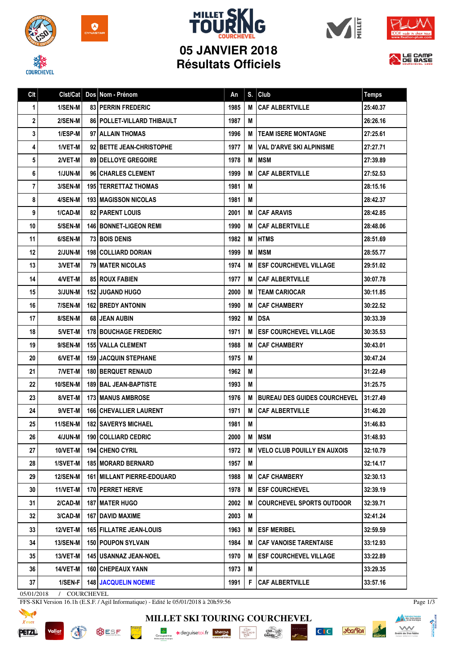









## **05 JANVIER 2018 Résultats Officiels**



| Clt | Clst/Cat        | Dos Nom - Prénom                | An   | S. | Club                                 | <b>Temps</b> |
|-----|-----------------|---------------------------------|------|----|--------------------------------------|--------------|
| 1   | 1/SEN-M         | <b>83 PERRIN FREDERIC</b>       | 1985 | M  | <b>CAF ALBERTVILLE</b>               | 25:40.37     |
| 2   | 2/SEN-M         | 86   POLLET-VILLARD THIBAULT    | 1987 | M  |                                      | 26:26.16     |
| 3   | 1/ESP-M         | 97 ALLAIN THOMAS                | 1996 | М  | <b>TEAM ISERE MONTAGNE</b>           | 27:25.61     |
| 4   | 1/VET-M         | 92 BETTE JEAN-CHRISTOPHE        | 1977 | м  | VAL D'ARVE SKI ALPINISME             | 27:27.71     |
| 5   | 2/VET-M         | 89 DELLOYE GREGOIRE             | 1978 | M  | <b>MSM</b>                           | 27:39.89     |
| 6   | <b>1/JUN-M</b>  | 96 CHARLES CLEMENT              | 1999 | M  | <b>CAF ALBERTVILLE</b>               | 27:52.53     |
| 7   | 3/SEN-M         | <b>195   TERRETTAZ THOMAS</b>   | 1981 | M  |                                      | 28:15.16     |
| 8   | 4/SEN-M         | <b>193 I MAGISSON NICOLAS</b>   | 1981 | M  |                                      | 28:42.37     |
| 9   | 1/CAD-M         | <b>82   PARENT LOUIS</b>        | 2001 | M  | <b>CAF ARAVIS</b>                    | 28:42.85     |
| 10  | <b>5/SEN-M</b>  | <b>146   BONNET-LIGEON REMI</b> | 1990 | М  | <b>CAF ALBERTVILLE</b>               | 28:48.06     |
| 11  | 6/SEN-M         | <b>73 BOIS DENIS</b>            | 1982 | М  | <b>HTMS</b>                          | 28:51.69     |
| 12  | <b>2/JUN-M</b>  | 198   COLLIARD DORIAN           | 1999 | M  | <b>MSM</b>                           | 28:55.77     |
| 13  | 3/VET-M         | <b>79 I MATER NICOLAS</b>       | 1974 | M  | <b>ESF COURCHEVEL VILLAGE</b>        | 29:51.02     |
| 14  | 4/VET-M         | <b>85 ROUX FABIEN</b>           | 1977 | M  | <b>CAF ALBERTVILLE</b>               | 30:07.78     |
| 15  | <b>3/JUN-M</b>  | <b>152 I JUGAND HUGO</b>        | 2000 | М  | <b>ITEAM CARIOCAR</b>                | 30:11.85     |
| 16  | 7/SEN-M         | <b>162 BREDY ANTONIN</b>        | 1990 | М  | <b>CAF CHAMBERY</b>                  | 30:22.52     |
| 17  | 8/SEN-M         | 68 JEAN AUBIN                   | 1992 | M  | <b>DSA</b>                           | 30:33.39     |
| 18  | 5/VET-M         | <b>178 BOUCHAGE FREDERIC</b>    | 1971 | М  | <b>ESF COURCHEVEL VILLAGE</b>        | 30:35.53     |
| 19  | 9/SEN-M         | <b>155   VALLA CLEMENT</b>      | 1988 | м  | <b>CAF CHAMBERY</b>                  | 30:43.01     |
| 20  | 6/VET-M         | <b>159   JACQUIN STEPHANE</b>   | 1975 | M  |                                      | 30:47.24     |
| 21  | 7/VET-M         | <b>180   BERQUET RENAUD</b>     | 1962 | Μ  |                                      | 31:22.49     |
| 22  | <b>10/SEN-M</b> | 189 BAL JEAN-BAPTISTE           | 1993 | M  |                                      | 31:25.75     |
| 23  | 8/VET-M         | <b>173   MANUS AMBROSE</b>      | 1976 | м  | <b>IBUREAU DES GUIDES COURCHEVEL</b> | 31:27.49     |
| 24  | 9/VET-M         | <b>166   CHEVALLIER LAURENT</b> | 1971 | М  | <b>CAF ALBERTVILLE</b>               | 31:46.20     |
| 25  | 11/SEN-M        | <b>182   SAVERYS MICHAEL</b>    | 1981 | M  |                                      | 31:46.83     |
| 26  | 4/JUN-M         | 190 COLLIARD CEDRIC             | 2000 | М  | <b>MSM</b>                           | 31:48.93     |
| 27  | $10/VET-M$      | 194 CHENO CYRIL                 | 1972 | М  | <b>VELO CLUB POUILLY EN AUXOIS</b>   | 32:10.79     |
| 28  | 1/SVET-M        | <b>185 MORARD BERNARD</b>       | 1957 | М  |                                      | 32:14.17     |
| 29  | <b>12/SEN-M</b> | 161 MILLANT PIERRE-EDOUARD      | 1988 | M  | <b>CAF CHAMBERY</b>                  | 32:30.13     |
| 30  | 11/VET-M        | 170 PERRET HERVE                | 1978 | M  | <b>ESF COURCHEVEL</b>                | 32:39.19     |
| 31  | 2/CAD-M         | <b>187 I MATER HUGO</b>         | 2002 | M  | <b>COURCHEVEL SPORTS OUTDOOR</b>     | 32:39.71     |
| 32  | 3/CAD-M         | 167   DAVID MAXIME              | 2003 | Μ  |                                      | 32:41.24     |
| 33  | 12/VET-M        | <b>165 FILLATRE JEAN-LOUIS</b>  | 1963 | M  | <b>ESF MERIBEL</b>                   | 32:59.59     |
| 34  | <b>13/SEN-M</b> | 150 POUPON SYLVAIN              | 1984 | M  | <b>CAF VANOISE TARENTAISE</b>        | 33:12.93     |
| 35  | $13/VET-M$      | 145 USANNAZ JEAN-NOEL           | 1970 | M  | <b>ESF COURCHEVEL VILLAGE</b>        | 33:22.89     |
| 36  | 14/VET-M        | 160 CHEPEAUX YANN               | 1973 | M  |                                      | 33:29.35     |
| 37  | 1/SEN-F         | <b>148 JACQUELIN NOEMIE</b>     | 1991 | F  | <b>CAF ALBERTVILLE</b>               | 33:57.16     |

05/01/2018 / COURCHEVEL

**Vallat** 

FFS-SKI Version 16.1h (E.S.F. / Agil Informatique) - Edité le 05/01/2018 à 20h59:56



**BUSF PORT AND IN** 



C<sub>IC</sub> you'lea



Page 1/3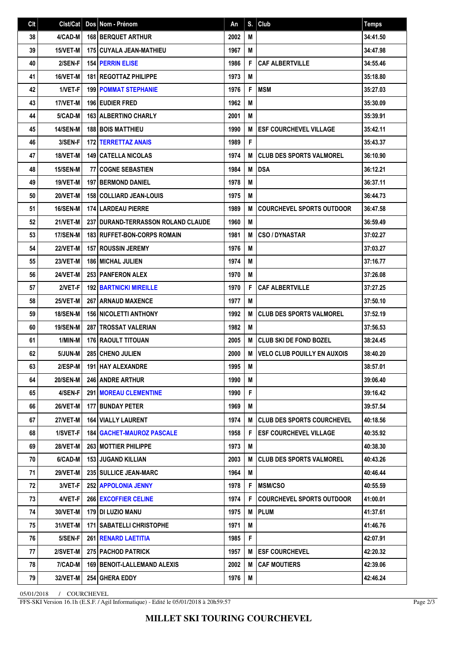| C <sub>It</sub> | Clst/Cat        |    | Dos Nom - Prénom                            | An   |   | $S.$ Club                          | <b>Temps</b> |
|-----------------|-----------------|----|---------------------------------------------|------|---|------------------------------------|--------------|
| 38              | 4/CAD-M         |    | <b>168 BERQUET ARTHUR</b>                   | 2002 | M |                                    | 34:41.50     |
| 39              | 15/VET-M        |    | <b>175 CUYALA JEAN-MATHIEU</b>              | 1967 | M |                                    | 34:47.98     |
| 40              | 2/SEN-F         |    | <b>154 PERRIN ELISE</b>                     | 1986 | F | <b>CAF ALBERTVILLE</b>             | 34:55.46     |
| 41              | 16/VET-M        |    | 181   REGOTTAZ PHILIPPE                     | 1973 | M |                                    | 35:18.80     |
| 42              | 1/VET-F         |    | <b>199 POMMAT STEPHANIE</b>                 | 1976 | F | <b>MSM</b>                         | 35:27.03     |
| 43              | 17/VET-M        |    | <b>196 EUDIER FRED</b>                      | 1962 | M |                                    | 35:30.09     |
| 44              | 5/CAD-M         |    | <b>163 ALBERTINO CHARLY</b>                 | 2001 | M |                                    | 35:39.91     |
| 45              | <b>14/SEN-M</b> |    | <b>188 BOIS MATTHIEU</b>                    | 1990 | M | <b>ESF COURCHEVEL VILLAGE</b>      | 35:42.11     |
| 46              | 3/SEN-F         |    | <b>172 TERRETTAZ ANAIS</b>                  | 1989 | F |                                    | 35:43.37     |
| 47              | 18/VET-M        |    | <b>149 CATELLA NICOLAS</b>                  | 1974 | M | <b>CLUB DES SPORTS VALMOREL</b>    | 36:10.90     |
| 48              | 15/SEN-M        | 77 | <b>COGNE SEBASTIEN</b>                      | 1984 | M | <b>DSA</b>                         | 36:12.21     |
| 49              | 19/VET-M        |    | <b>197   BERMOND DANIEL</b>                 | 1978 | M |                                    | 36:37.11     |
| 50              | 20/VET-M        |    | <b>158 COLLIARD JEAN-LOUIS</b>              | 1975 | M |                                    | 36:44.73     |
| 51              | 16/SEN-M        |    | <b>174 LARDEAU PIERRE</b>                   | 1989 | M | <b>COURCHEVEL SPORTS OUTDOOR</b>   | 36:47.58     |
| 52              | 21/VET-M        |    | <b>237 I DURAND-TERRASSON ROLAND CLAUDE</b> | 1960 | M |                                    | 36:59.49     |
| 53              | <b>17/SEN-M</b> |    | <b>183 RUFFET-BON-CORPS ROMAIN</b>          | 1981 | M | <b>CSO/DYNASTAR</b>                | 37:02.27     |
| 54              | <b>22/VET-M</b> |    | <b>157 ROUSSIN JEREMY</b>                   | 1976 | M |                                    | 37:03.27     |
| 55              | 23/VET-M        |    | <b>186 MICHAL JULIEN</b>                    | 1974 | M |                                    | 37:16.77     |
| 56              | <b>24/VET-M</b> |    | <b>253 PANFERON ALEX</b>                    | 1970 | M |                                    | 37:26.08     |
| 57              | 2/VET-F         |    | <b>192 BARTNICKI MIREILLE</b>               | 1970 | F | <b>CAF ALBERTVILLE</b>             | 37:27.25     |
| 58              | 25/VET-M        |    | 267 ARNAUD MAXENCE                          | 1977 | M |                                    | 37:50.10     |
| 59              | <b>18/SEN-M</b> |    | <b>156 NICOLETTI ANTHONY</b>                | 1992 | М | <b>CLUB DES SPORTS VALMOREL</b>    | 37:52.19     |
| 60              | <b>19/SEN-M</b> |    | <b>287 I TROSSAT VALERIAN</b>               | 1982 | M |                                    | 37:56.53     |
| 61              | 1/MIN-M         |    | 176 RAOULT TITOUAN                          | 2005 | M | <b>CLUB SKI DE FOND BOZEL</b>      | 38:24.45     |
| 62              | 5/JUN-M         |    | 285 CHENO JULIEN                            | 2000 | M | <b>VELO CLUB POUILLY EN AUXOIS</b> | 38:40.20     |
| 63              | 2/ESP-M         |    | <b>191 HAY ALEXANDRE</b>                    | 1995 | M |                                    | 38:57.01     |
| 64              | 20/SEN-M        |    | 246 ANDRE ARTHUR                            | 1990 | M |                                    | 39:06.40     |
| 65              | 4/SEN-F         |    | <b>291   MOREAU CLEMENTINE</b>              | 1990 | F |                                    | 39:16.42     |
| 66              | <b>26/VET-M</b> |    | 177 BUNDAY PETER                            | 1969 | M |                                    | 39:57.54     |
| 67              | 27/VET-M        |    | <b>164 VIALLY LAURENT</b>                   | 1974 | M | <b>CLUB DES SPORTS COURCHEVEL</b>  | 40:18.56     |
| 68              | 1/SVET-F        |    | <b>184   GACHET-MAUROZ PASCALE</b>          | 1958 | F | <b>ESF COURCHEVEL VILLAGE</b>      | 40:35.92     |
| 69              | 28/VET-M        |    | <b>263 MOTTIER PHILIPPE</b>                 | 1973 | M |                                    | 40:38.30     |
| 70              | 6/CAD-M         |    | <b>153 JUGAND KILLIAN</b>                   | 2003 | M | <b>CLUB DES SPORTS VALMOREL</b>    | 40:43.26     |
| 71              | <b>29/VET-M</b> |    | 235   SULLICE JEAN-MARC                     | 1964 | M |                                    | 40:46.44     |
| 72              | 3/VET-F         |    | 252 APPOLONIA JENNY                         | 1978 | F | <b>MSM/CSO</b>                     | 40:55.59     |
| 73              | 4/VET-F         |    | 266 EXCOFFIER CELINE                        | 1974 | F | <b>COURCHEVEL SPORTS OUTDOOR</b>   | 41:00.01     |
| 74              | 30/VET-M        |    | 179   DI LUZIO MANU                         | 1975 | M | <b>PLUM</b>                        | 41:37.61     |
| 75              | 31/VET-M        |    | 171   SABATELLI CHRISTOPHE                  | 1971 | Μ |                                    | 41:46.76     |
| 76              | 5/SEN-F         |    | 261 RENARD LAETITIA                         | 1985 | F |                                    | 42:07.91     |
| 77              | 2/SVET-M        |    | <b>275 PACHOD PATRICK</b>                   | 1957 | M | <b>IESF COURCHEVEL</b>             | 42:20.32     |
| 78              | 7/CAD-M         |    | 169   BENOIT-LALLEMAND ALEXIS               | 2002 | M | <b>CAF MOUTIERS</b>                | 42:39.06     |
| 79              | <b>32/VET-M</b> |    | <b>254 GHERA EDDY</b>                       | 1976 | M |                                    | 42:46.24     |

05/01/2018 / COURCHEVEL

FFS-SKI Version 16.1h (E.S.F. / Agil Informatique) - Edité le 05/01/2018 à 20h59:57

Page 2/3